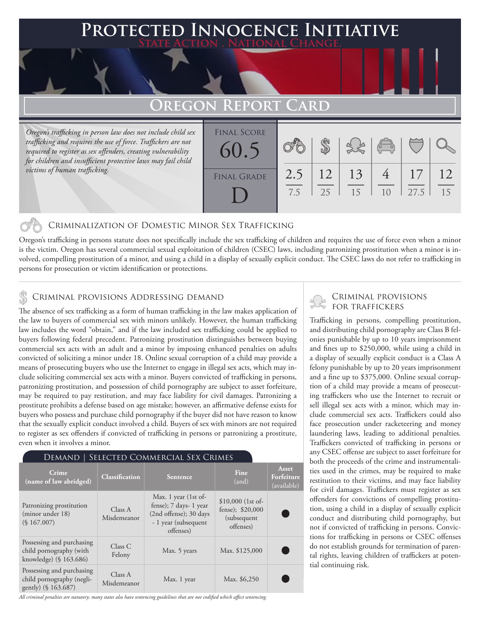### **PTED INNOCENCE INITIATIVE State Action . National Change.**

# **Oregon Report Card**

*Oregon's trafficking in person law does not include child sex trafficking and requires the use of force. Traffickers are not required to register as sex offenders, creating vulnerability for children and insufficient protective laws may fail child victims of human trafficking.*

| <b>FINAL SCORE</b><br>60.5 |            |          |          | $\begin{pmatrix} 1 & 1 \\ 0 & 1 \end{pmatrix}$ |            |          |
|----------------------------|------------|----------|----------|------------------------------------------------|------------|----------|
| <b>FINAL GRADE</b>         | 2.5<br>7.5 | 12<br>25 | 13<br>15 | 1 <sub>0</sub>                                 | 17<br>27.5 | 12<br>15 |

### Criminalization of Domestic Minor Sex Trafficking

Oregon's trafficking in persons statute does not specifically include the sex trafficking of children and requires the use of force even when a minor is the victim. Oregon has several commercial sexual exploitation of children (CSEC) laws, including patronizing prostitution when a minor is involved, compelling prostitution of a minor, and using a child in a display of sexually explicit conduct. The CSEC laws do not refer to trafficking in persons for prosecution or victim identification or protections.

# CRIMINAL PROVISIONS ADDRESSING DEMAND<br>  $\begin{matrix} 1 & 0 & \sqrt{3} & \sqrt{3} \\ \sqrt{3} & \sqrt{3} & \sqrt{3} & \sqrt{3} \\ \sqrt{3} & \sqrt{3} & \sqrt{3} & \sqrt{3} \\ \sqrt{3} & \sqrt{3} & \sqrt{3} & \sqrt{3} \\ \sqrt{3} & \sqrt{3} & \sqrt{3} & \sqrt{3} \\ \sqrt{3} & \sqrt{3} & \sqrt{3} & \sqrt{3} \\ \sqrt{3} & \sqrt{3} & \sqrt{3} & \sqrt{3} \\ \sqrt{3} & \sqrt{3} & \sqrt{$

The absence of sex trafficking as a form of human trafficking in the law makes application of the law to buyers of commercial sex with minors unlikely. However, the human trafficking law includes the word "obtain," and if the law included sex trafficking could be applied to buyers following federal precedent. Patronizing prostitution distinguishes between buying commercial sex acts with an adult and a minor by imposing enhanced penalties on adults convicted of soliciting a minor under 18. Online sexual corruption of a child may provide a means of prosecuting buyers who use the Internet to engage in illegal sex acts, which may include soliciting commercial sex acts with a minor. Buyers convicted of trafficking in persons, patronizing prostitution, and possession of child pornography are subject to asset forfeiture, may be required to pay restitution, and may face liability for civil damages. Patronizing a prostitute prohibits a defense based on age mistake; however, an affirmative defense exists for buyers who possess and purchase child pornography if the buyer did not have reason to know that the sexually explicit conduct involved a child. Buyers of sex with minors are not required to register as sex offenders if convicted of trafficking in persons or patronizing a prostitute, even when it involves a minor.

### Demand | Selected Commercial Sex Crimes

| Crime<br>(name of law abridged)                                                | <b>Classification</b>  | <b>Sentence</b>                                                                                               | Fine<br>(and)                                                        | Asset<br>Forfeiture<br>(available) |
|--------------------------------------------------------------------------------|------------------------|---------------------------------------------------------------------------------------------------------------|----------------------------------------------------------------------|------------------------------------|
| Patronizing prostitution<br>(minor under 18)<br>(S167.007)                     | Class A<br>Misdemeanor | Max. 1 year (1st of-<br>fense); 7 days- 1 year<br>(2nd offense); 30 days<br>- 1 year (subsequent<br>offenses) | $$10,000$ (1st of-<br>fense); $$20,000$<br>(subsequent)<br>offenses) |                                    |
| Possessing and purchasing<br>child pornography (with<br>knowledge) (§ 163.686) | Class C<br>Felony      | Max. 5 years                                                                                                  | Max. \$125,000                                                       |                                    |
| Possessing and purchasing<br>child pornography (negli-<br>gently) (§ 163.687)  | Class A<br>Misdemeanor | Max. 1 year                                                                                                   | Max. \$6,250                                                         |                                    |

*All criminal penalties are statutory; many states also have sentencing guidelines that are not codified which affect sentencing.* 

# Criminal provisions

Trafficking in persons, compelling prostitution, and distributing child pornography are Class B felonies punishable by up to 10 years imprisonment and fines up to \$250,000, while using a child in a display of sexually explicit conduct is a Class A felony punishable by up to 20 years imprisonment and a fine up to \$375,000. Online sexual corruption of a child may provide a means of prosecuting traffickers who use the Internet to recruit or sell illegal sex acts with a minor, which may include commercial sex acts. Traffickers could also face prosecution under racketeering and money laundering laws, leading to additional penalties. Traffickers convicted of trafficking in persons or any CSEC offense are subject to asset forfeiture for both the proceeds of the crime and instrumentalities used in the crimes, may be required to make restitution to their victims, and may face liability for civil damages. Traffickers must register as sex offenders for convictions of compelling prostitution, using a child in a display of sexually explicit conduct and distributing child pornography, but not if convicted of trafficking in persons. Convictions for trafficking in persons or CSEC offenses do not establish grounds for termination of parental rights, leaving children of traffickers at potential continuing risk.